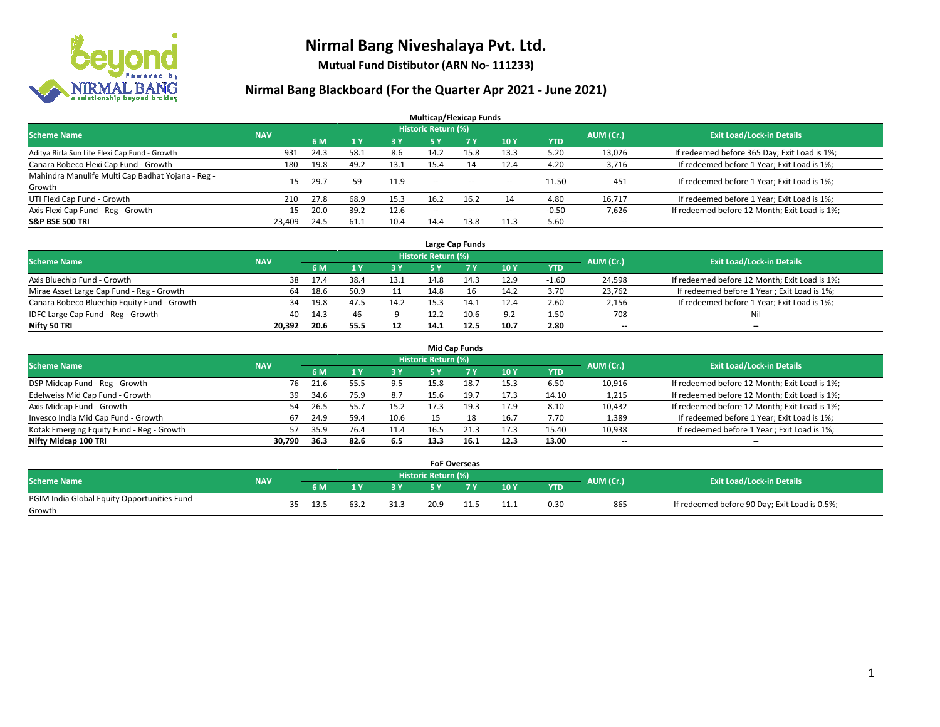

**Mutual Fund Distibutor (ARN No- 111233)**

|                                                   |            |      |                |            | <b>Multicap/Flexicap Funds</b> |           |        |            |                          |                                               |
|---------------------------------------------------|------------|------|----------------|------------|--------------------------------|-----------|--------|------------|--------------------------|-----------------------------------------------|
| <b>Scheme Name</b>                                | <b>NAV</b> |      |                |            | <b>Historic Return (%)</b>     |           |        |            | AUM (Cr.)                | <b>Exit Load/Lock-in Details</b>              |
|                                                   |            | 6 M  | 1 <sup>v</sup> | <b>3 Y</b> | 5 Y                            | <b>7Y</b> | 10Y    | <b>YTD</b> |                          |                                               |
| Aditya Birla Sun Life Flexi Cap Fund - Growth     | 931        | 24.3 | 58.1           | 8.6        | 14.2                           | 15.8      | 13.3   | 5.20       | 13,026                   | If redeemed before 365 Day; Exit Load is 1%;  |
| Canara Robeco Flexi Cap Fund - Growth             | 180        | 19.8 | 49.2           | 13.1       | 15.4                           | 14        | 12.4   | 4.20       | 3,716                    | If redeemed before 1 Year; Exit Load is 1%;   |
| Mahindra Manulife Multi Cap Badhat Yojana - Reg - | 15         | 29.7 | 59             | 11.9       | $\sim$                         | $\sim$    |        | 11.50      | 451                      | If redeemed before 1 Year; Exit Load is 1%;   |
| Growth                                            |            |      |                |            |                                |           | $\sim$ |            |                          |                                               |
| UTI Flexi Cap Fund - Growth                       | 210        | 27.8 | 68.9           | 15.3       | 16.2                           | 16.2      | 14     | 4.80       | 16,717                   | If redeemed before 1 Year; Exit Load is 1%;   |
| Axis Flexi Cap Fund - Reg - Growth                | 15         | 20.0 | 39.2           | 12.6       | $\overline{\phantom{a}}$       | $-$       | --     | $-0.50$    | 7,626                    | If redeemed before 12 Month; Exit Load is 1%; |
| <b>S&amp;P BSE 500 TRI</b>                        | 23.409     | 24.5 | 61.1           | 10.4       | 14.4                           | 13.8      | 11.3   | 5.60       | $\overline{\phantom{a}}$ | $- -$                                         |

|                                             |            |                                  |      |      |      | Large Cap Funds |      |         |        |                                               |
|---------------------------------------------|------------|----------------------------------|------|------|------|-----------------|------|---------|--------|-----------------------------------------------|
| <b>Scheme Name</b>                          | AUM (Cr.)  | <b>Exit Load/Lock-in Details</b> |      |      |      |                 |      |         |        |                                               |
|                                             | <b>NAV</b> | 6 M                              |      | 3Y   |      | 7 Y             | 10Y  | YTD     |        |                                               |
| Axis Bluechip Fund - Growth                 | 38         | 17.4                             | 38.4 | 13.1 | 14.8 | 14.3            | 12.9 | $-1.60$ | 24,598 | If redeemed before 12 Month; Exit Load is 1%; |
| Mirae Asset Large Cap Fund - Reg - Growth   | 64         | 18.6                             | 50.9 |      | 14.8 |                 | 14.2 | 3.70    | 23,762 | If redeemed before 1 Year; Exit Load is 1%;   |
| Canara Robeco Bluechip Equity Fund - Growth | 34         | 19.8                             | 47.5 | 14.2 | 15.3 |                 | 12.4 | 2.60    | 2,156  | If redeemed before 1 Year; Exit Load is 1%;   |
| IDFC Large Cap Fund - Reg - Growth          | 40         | 14.3                             |      |      | 12.2 | 10.6            | 9.2  | 1.50    | 708    | Nil                                           |
| Nifty 50 TRI                                | 20.392     | 20.6                             | 55.5 | 12   | 14.1 | 12.5            | 10.7 | 2.80    | $- -$  | $\overline{\phantom{a}}$                      |

| <b>Mid Cap Funds</b>                      |            |           |                                  |           |      |      |      |            |                          |                                               |  |  |  |  |
|-------------------------------------------|------------|-----------|----------------------------------|-----------|------|------|------|------------|--------------------------|-----------------------------------------------|--|--|--|--|
| <b>Scheme Name</b>                        | <b>NAV</b> | AUM (Cr.) | <b>Exit Load/Lock-in Details</b> |           |      |      |      |            |                          |                                               |  |  |  |  |
|                                           |            | 6 M       |                                  | <b>3Y</b> | 5 Y  |      | 10Y  | <b>YTD</b> |                          |                                               |  |  |  |  |
| DSP Midcap Fund - Reg - Growth            | 76         | 21.6      | 55.5                             | 9.5       | 15.8 | 18.7 | 15.3 | 6.50       | 10,916                   | If redeemed before 12 Month; Exit Load is 1%; |  |  |  |  |
| Edelweiss Mid Cap Fund - Growth           | 39         | 34.6      | 75.9                             | 8.7       | 15.6 | 19.7 | 17.3 | 14.10      | 1,215                    | If redeemed before 12 Month; Exit Load is 1%; |  |  |  |  |
| Axis Midcap Fund - Growth                 | 54         | 26.5      | 55.7                             | 15.2      | 17.3 | 19.3 | 17.9 | 8.10       | 10,432                   | If redeemed before 12 Month; Exit Load is 1%; |  |  |  |  |
| Invesco India Mid Cap Fund - Growth       | 67         | 24.9      | 59.4                             | 10.6      |      |      | 16.7 | 7.70       | 1,389                    | If redeemed before 1 Year; Exit Load is 1%;   |  |  |  |  |
| Kotak Emerging Equity Fund - Reg - Growth | 57         | 35.9      | 76.4                             | 11.4      | 16.5 | 21.3 | 17.3 | 15.40      | 10,938                   | If redeemed before 1 Year; Exit Load is 1%;   |  |  |  |  |
| Nifty Midcap 100 TRI                      | 30.790     | 36.3      | 82.6                             | 6.5       | 13.3 | 16.1 | 12.3 | 13.00      | $\overline{\phantom{m}}$ | $\overline{\phantom{a}}$                      |  |  |  |  |

|                                                         |            |    |      |        |                     | <b>FoF Overseas</b> |                |            |           |                                               |
|---------------------------------------------------------|------------|----|------|--------|---------------------|---------------------|----------------|------------|-----------|-----------------------------------------------|
| Scheme Name                                             | <b>NAV</b> |    |      |        | Historic Return (%) |                     |                |            | AUM (Cr.) | <b>Exit Load/Lock-in Details</b>              |
|                                                         |            |    | 6 M  | $\sim$ |                     | 7 V                 | 10Y            | <b>YTD</b> |           |                                               |
| PGIM India Global Equity Opportunities Fund -<br>Growth |            | २८ | 13.5 | 31.3   | 20.9                |                     | 111<br><b></b> | 0.30       | 865       | If redeemed before 90 Day; Exit Load is 0.5%; |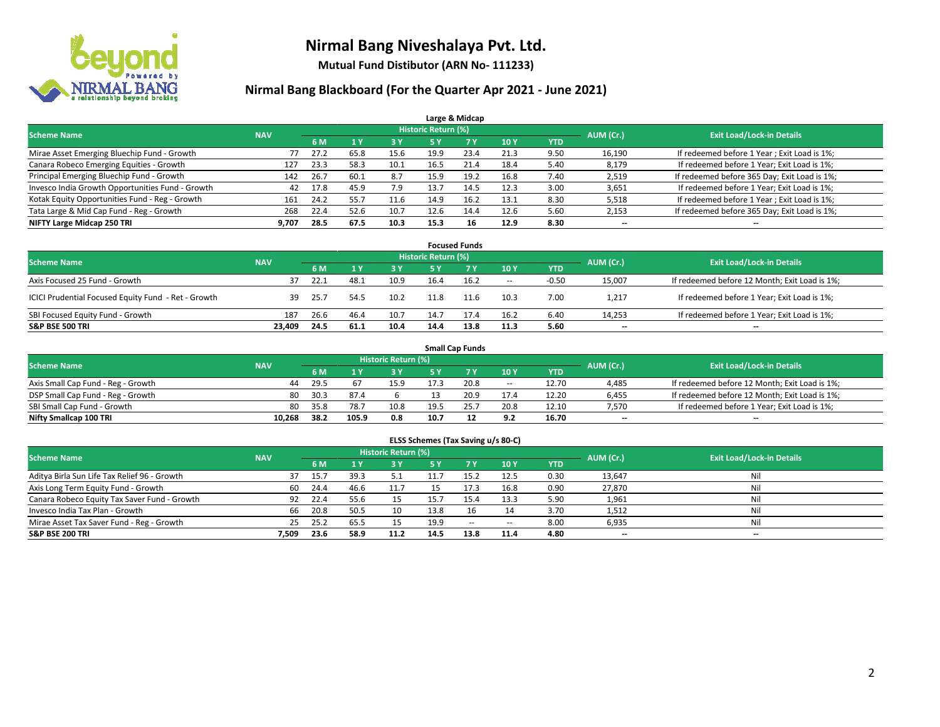

**Mutual Fund Distibutor (ARN No- 111233)**

|                                                  |            |      |      |      |                            | Large & Midcap |      |            |           |                                              |
|--------------------------------------------------|------------|------|------|------|----------------------------|----------------|------|------------|-----------|----------------------------------------------|
| <b>Scheme Name</b>                               | <b>NAV</b> |      |      |      | <b>Historic Return (%)</b> |                |      |            | AUM (Cr.) | <b>Exit Load/Lock-in Details</b>             |
|                                                  |            | 6 M  |      | 3 Y  | 5 Y                        | 7 <sup>V</sup> | 10Y  | <b>YTD</b> |           |                                              |
| Mirae Asset Emerging Bluechip Fund - Growth      |            | 27.2 | 65.8 | 15.6 | 19.9                       | 23.4           | 21.3 | 9.50       | 16,190    | If redeemed before 1 Year; Exit Load is 1%;  |
| Canara Robeco Emerging Equities - Growth         | 127        | 23.3 | 58.3 | 10.1 | 16.5                       | 21.4           | 18.4 | 5.40       | 8,179     | If redeemed before 1 Year; Exit Load is 1%;  |
| Principal Emerging Bluechip Fund - Growth        | 142        | 26.7 | 60.1 | 8.7  | 15.9                       | 19.2           | 16.8 | 7.40       | 2,519     | If redeemed before 365 Day; Exit Load is 1%; |
| Invesco India Growth Opportunities Fund - Growth | 42         | 17.8 | 45.9 | 7.9  | 13.7                       | 14.5           | 12.3 | 3.00       | 3,651     | If redeemed before 1 Year; Exit Load is 1%;  |
| Kotak Equity Opportunities Fund - Reg - Growth   | 161        | 24.2 | 55.7 | 11.6 | 14.9                       | 16.2           | 13.1 | 8.30       | 5,518     | If redeemed before 1 Year; Exit Load is 1%;  |
| Tata Large & Mid Cap Fund - Reg - Growth         | 268        | 22.4 | 52.6 | 10.7 | 12.6                       | 14.4           | 12.6 | 5.60       | 2,153     | If redeemed before 365 Day; Exit Load is 1%; |
| NIFTY Large Midcap 250 TRI                       | 9,707      | 28.5 | 67.5 | 10.3 | 15.3                       | 16             | 12.9 | 8.30       | --        | $- -$                                        |

|                                                     |            |      |      |      |                     | <b>Focused Funds</b> |        |            |           |                                               |
|-----------------------------------------------------|------------|------|------|------|---------------------|----------------------|--------|------------|-----------|-----------------------------------------------|
| <b>Scheme Name</b>                                  | <b>NAV</b> |      |      |      | Historic Return (%) |                      |        |            | AUM (Cr.) | <b>Exit Load/Lock-in Details</b>              |
|                                                     |            | 6 M  |      | 3 Y  | 5 Y                 |                      | 10Y    | <b>YTD</b> |           |                                               |
| Axis Focused 25 Fund - Growth                       | 37         | 22.1 | 48.1 | 10.9 | 16.4                | 16.2                 | $\sim$ | $-0.50$    | 15,007    | If redeemed before 12 Month; Exit Load is 1%; |
| ICICI Prudential Focused Equity Fund - Ret - Growth | 39         | 25.7 | 54.5 | 10.2 |                     | 11.6                 | 10.3   | 7.00       | 1,217     | If redeemed before 1 Year; Exit Load is 1%;   |
| SBI Focused Equity Fund - Growth                    | 187        | 26.6 | 46.4 | 10.7 | 14.7                | 17.4                 | 16.2   | 6.40       | 14,253    | If redeemed before 1 Year; Exit Load is 1%;   |
| <b>S&amp;P BSE 500 TRI</b>                          | 23.409     | 24.5 | 61.1 | 10.4 | 14.4                | 13.8                 | 11.3   | 5.60       | $- -$     | $\overline{\phantom{a}}$                      |

|                                    |            |      |       |                     |      | <b>Small Cap Funds</b> |                          |       |           |                                               |
|------------------------------------|------------|------|-------|---------------------|------|------------------------|--------------------------|-------|-----------|-----------------------------------------------|
| <b>Scheme Name</b>                 | <b>NAV</b> |      |       | Historic Return (%) |      |                        |                          |       | AUM (Cr.) | <b>Exit Load/Lock-in Details</b>              |
|                                    |            | 6 M  |       | 73 Y.               |      |                        | 10Y                      | YTD   |           |                                               |
| Axis Small Cap Fund - Reg - Growth | 44         | 29.5 | 67    | 15.9                |      | 20.8                   | $\overline{\phantom{a}}$ | 12.70 | 4,485     | If redeemed before 12 Month; Exit Load is 1%; |
| DSP Small Cap Fund - Reg - Growth  | 80         | 30.3 | 87.4  |                     |      | 20.9                   | 17.4                     | 12.20 | 6,455     | If redeemed before 12 Month; Exit Load is 1%; |
| SBI Small Cap Fund - Growth        | 80         | 35.8 | 78.7  | 10.8                | 19.5 | 25.7                   | 20.8                     | 12.10 | 7.570     | If redeemed before 1 Year; Exit Load is 1%;   |
| Nifty Smallcap 100 TRI             | 10.268     | 38.2 | 105.9 | 0.8                 | 10.7 |                        | 9.2                      | 16.70 | $- -$     | $\overline{\phantom{a}}$                      |

| ELSS Schemes (Tax Saving u/s 80-C)           |            |      |      |                            |           |        |            |            |           |                                  |  |  |  |
|----------------------------------------------|------------|------|------|----------------------------|-----------|--------|------------|------------|-----------|----------------------------------|--|--|--|
| <b>Scheme Name</b>                           | <b>NAV</b> |      |      | <b>Historic Return (%)</b> |           |        |            |            | AUM (Cr.) | <b>Exit Load/Lock-in Details</b> |  |  |  |
|                                              |            | 6 M  | 71 Y | 3 Y                        | <b>5Y</b> | 7V     | <b>10Y</b> | <b>YTD</b> |           |                                  |  |  |  |
| Aditya Birla Sun Life Tax Relief 96 - Growth | 37         | 15.7 | 39.3 | 5.1                        |           | 15.2   | 12.5       | 0.30       | 13,647    | Nil                              |  |  |  |
| Axis Long Term Equity Fund - Growth          | 60         | 24.4 | 46.6 | 11.7                       |           | 17.3   | 16.8       | 0.90       | 27,870    | Nil                              |  |  |  |
| Canara Robeco Equity Tax Saver Fund - Growth | 92         | 22.4 | 55.6 | 15                         | 15.7      | 15.4   | 13.3       | 5.90       | 1,961     | Nil                              |  |  |  |
| Invesco India Tax Plan - Growth              | 66         | 20.8 | 50.5 | 10                         | 13.8      | 16     | 14         | 3.70       | 1,512     | Nil                              |  |  |  |
| Mirae Asset Tax Saver Fund - Reg - Growth    | 25         | 25.2 | 65.5 | 15                         | 19.9      | $\sim$ | $\sim$     | 8.00       | 6,935     | Nil                              |  |  |  |
| S&P BSE 200 TRI                              | 7,509      | 23.6 | 58.9 | 11.2                       | 14.5      | 13.8   | 11.4       | 4.80       | $- -$     | $-$                              |  |  |  |
|                                              |            |      |      |                            |           |        |            |            |           |                                  |  |  |  |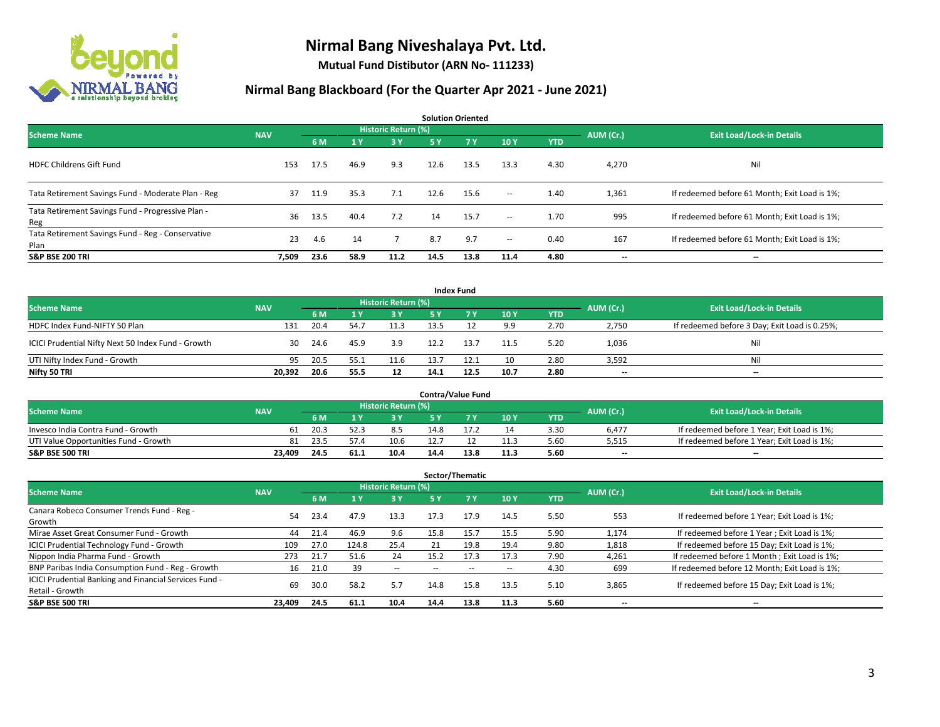

**Mutual Fund Distibutor (ARN No- 111233)**

|                                                           |            |      |                |                            |      | <b>Solution Oriented</b> |                          |            |           |                                               |
|-----------------------------------------------------------|------------|------|----------------|----------------------------|------|--------------------------|--------------------------|------------|-----------|-----------------------------------------------|
| <b>Scheme Name</b>                                        | <b>NAV</b> |      |                | <b>Historic Return (%)</b> |      |                          |                          |            | AUM (Cr.) | <b>Exit Load/Lock-in Details</b>              |
|                                                           |            | 6 M  | 1 <sup>1</sup> | 3 Y                        | 5 Y  | <b>7Y</b>                | 10Y                      | <b>YTD</b> |           |                                               |
| <b>HDFC Childrens Gift Fund</b>                           | 153        | 17.5 | 46.9           | 9.3                        | 12.6 | 13.5                     | 13.3                     | 4.30       | 4,270     | Nil                                           |
| Tata Retirement Savings Fund - Moderate Plan - Reg        | 37         | 11.9 | 35.3           | 7.1                        | 12.6 | 15.6                     | $\sim$                   | 1.40       | 1,361     | If redeemed before 61 Month; Exit Load is 1%; |
| Tata Retirement Savings Fund - Progressive Plan -<br>Reg  | 36         | 13.5 | 40.4           | 7.2                        | 14   | 15.7                     | $\sim$                   | 1.70       | 995       | If redeemed before 61 Month; Exit Load is 1%; |
| Tata Retirement Savings Fund - Reg - Conservative<br>Plan | 23         | 4.6  | 14             |                            | 8.7  | 9.7                      | $\overline{\phantom{a}}$ | 0.40       | 167       | If redeemed before 61 Month; Exit Load is 1%; |
| <b>S&amp;P BSE 200 TRI</b>                                | 7,509      | 23.6 | 58.9           | 11.2                       | 14.5 | 13.8                     | 11.4                     | 4.80       | --        | $\hspace{0.05cm}$                             |

|                                                    |            |      |      |                     |      | <b>Index Fund</b> |      |            |           |                                               |
|----------------------------------------------------|------------|------|------|---------------------|------|-------------------|------|------------|-----------|-----------------------------------------------|
| <b>Scheme Name</b>                                 | <b>NAV</b> |      |      | Historic Return (%) |      |                   |      |            | AUM (Cr.) | <b>Exit Load/Lock-in Details</b>              |
|                                                    |            | 6 M  |      | $-3V$               | 5 Y  | <b>7Y</b>         | 10Y  | <b>YTD</b> |           |                                               |
| HDFC Index Fund-NIFTY 50 Plan                      | 131        | 20.4 | 54.7 | 11.3                | 13.5 |                   | 9.9  | 2.70       | 2,750     | If redeemed before 3 Day; Exit Load is 0.25%; |
| ICICI Prudential Nifty Next 50 Index Fund - Growth | 30         | 24.6 | 45.9 | 3.9                 | 12.2 | 13.7              | 11.5 | 5.20       | 1,036     | Nil                                           |
| UTI Nifty Index Fund - Growth                      | 95         | 20.5 | 55.1 | 11.6                | 13.7 | 12.1              | 10   | 2.80       | 3,592     | Nil                                           |
| Nifty 50 TRI                                       | 20,392     | 20.6 | 55.5 | 12                  | 14.1 | 12.5              | 10.7 | 2.80       | $- -$     | $\overline{\phantom{a}}$                      |

|                                       |            |                                  |      |      |      | <b>Contra/Value Fund</b> |      |      |       |                                             |
|---------------------------------------|------------|----------------------------------|------|------|------|--------------------------|------|------|-------|---------------------------------------------|
| <b>Scheme Name</b>                    | AUM (Cr.)  | <b>Exit Load/Lock-in Details</b> |      |      |      |                          |      |      |       |                                             |
|                                       | <b>NAV</b> | 6 M                              |      | 3 Y  |      |                          | 10Y  | YTD  |       |                                             |
| Invesco India Contra Fund - Growth    | 61         | 20.3                             |      | 8.5  | 14.8 |                          | 14   | 3.30 | 6.477 | If redeemed before 1 Year; Exit Load is 1%; |
| UTI Value Opportunities Fund - Growth | 81         | 23.5                             |      | 10.6 | 12.7 |                          | 11.3 | 5.60 | 5,515 | If redeemed before 1 Year; Exit Load is 1%; |
| <b>S&amp;P BSE 500 TRI</b>            | 23.409     | 24.5                             | 61.1 | 10.4 | 14.4 | 13.8                     | 11.3 | 5.60 | $-$   | $- -$                                       |

|                                                                           |            |      |                         |                     |      | Sector/Thematic |      |            |           |                                               |
|---------------------------------------------------------------------------|------------|------|-------------------------|---------------------|------|-----------------|------|------------|-----------|-----------------------------------------------|
| <b>Scheme Name</b>                                                        | <b>NAV</b> |      |                         | Historic Return (%) |      |                 |      |            | AUM (Cr.) | <b>Exit Load/Lock-in Details</b>              |
|                                                                           |            | 6 M  | $\mathbf{1} \mathbf{y}$ | <b>3Y</b>           | 5 Y  | 7 Y             | 10Y  | <b>YTD</b> |           |                                               |
| Canara Robeco Consumer Trends Fund - Reg -<br>Growth                      | 54         | 23.4 | 47.9                    | 13.3                | 17.3 | 17.9            | 14.5 | 5.50       | 553       | If redeemed before 1 Year; Exit Load is 1%;   |
| Mirae Asset Great Consumer Fund - Growth                                  | 44         | 21.4 | 46.9                    | 9.6                 | 15.8 | 15.7            | 15.5 | 5.90       | 1.174     | If redeemed before 1 Year; Exit Load is 1%;   |
| ICICI Prudential Technology Fund - Growth                                 | 109        | 27.0 | 124.8                   | 25.4                | 21   | 19.8            | 19.4 | 9.80       | 1,818     | If redeemed before 15 Day; Exit Load is 1%;   |
| Nippon India Pharma Fund - Growth                                         | 273        | 21.7 | 51.6                    | 24                  | 15.2 | 17.3            | 17.3 | 7.90       | 4,261     | If redeemed before 1 Month; Exit Load is 1%;  |
| BNP Paribas India Consumption Fund - Reg - Growth                         | 16         | 21.0 | 39                      | $\sim$              | --   | --              | --   | 4.30       | 699       | If redeemed before 12 Month; Exit Load is 1%; |
| ICICI Prudential Banking and Financial Services Fund -<br>Retail - Growth | 69         | 30.0 | 58.2                    | 5.7                 | 14.8 | 15.8            | 13.5 | 5.10       | 3,865     | If redeemed before 15 Day; Exit Load is 1%;   |
| <b>S&amp;P BSE 500 TRI</b>                                                | 23.409     | 24.5 | 61.1                    | 10.4                | 14.4 | 13.8            | 11.3 | 5.60       | --        | --                                            |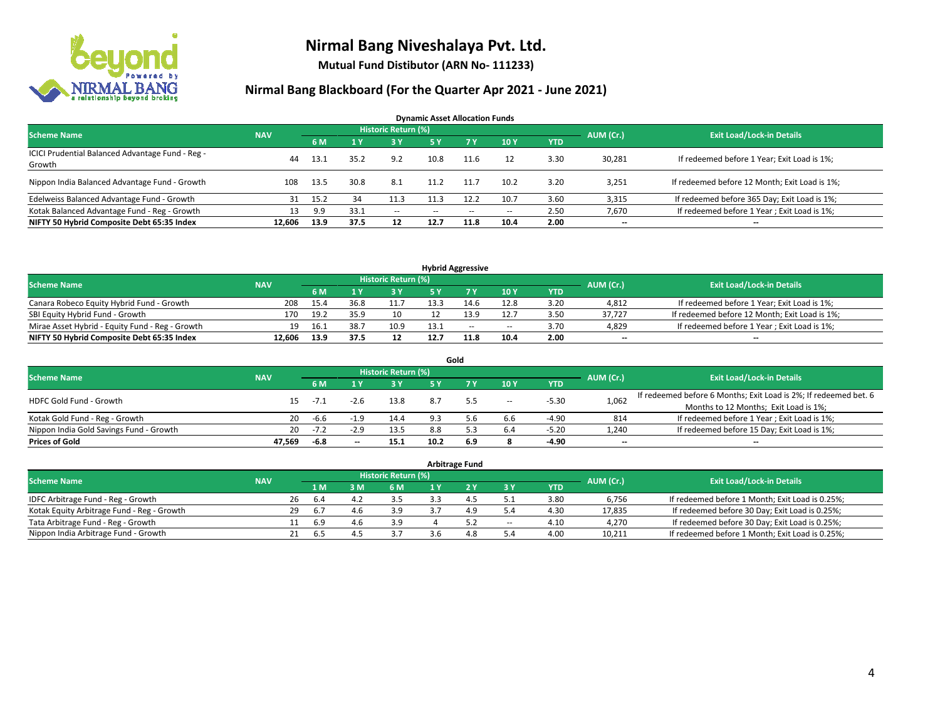

**Mutual Fund Distibutor (ARN No- 111233)**

| <b>Dynamic Asset Allocation Funds</b>                      |            |      |                |                     |               |                |       |      |           |                                               |  |  |  |
|------------------------------------------------------------|------------|------|----------------|---------------------|---------------|----------------|-------|------|-----------|-----------------------------------------------|--|--|--|
| <b>Scheme Name</b>                                         | <b>NAV</b> |      |                | Historic Return (%) |               |                |       |      | AUM (Cr.) | <b>Exit Load/Lock-in Details</b>              |  |  |  |
|                                                            |            | 6 M  | 1 <sup>1</sup> | 3 Y                 | <b>5 Y</b>    | 7 <sub>V</sub> | 10Y   | YTD  |           |                                               |  |  |  |
| ICICI Prudential Balanced Advantage Fund - Reg -<br>Growth | 44         | 13.1 | 35.2           | 9.2                 | 10.8          | 11.6           | 12    | 3.30 | 30,281    | If redeemed before 1 Year; Exit Load is 1%;   |  |  |  |
| Nippon India Balanced Advantage Fund - Growth              | 108        | 13.5 | 30.8           | 8.1                 | 11.2          | -11.7          | 10.2  | 3.20 | 3,251     | If redeemed before 12 Month; Exit Load is 1%; |  |  |  |
| Edelweiss Balanced Advantage Fund - Growth                 | 31         | 15.2 | 34             | 11.3                |               | 12.2           | 10.7  | 3.60 | 3,315     | If redeemed before 365 Day; Exit Load is 1%;  |  |  |  |
| Kotak Balanced Advantage Fund - Reg - Growth               | 13         | 9.9  | 33.1           | $\sim$              | $\sim$ $\sim$ | $\sim$         | $- -$ | 2.50 | 7,670     | If redeemed before 1 Year; Exit Load is 1%;   |  |  |  |
| NIFTY 50 Hybrid Composite Debt 65:35 Index                 | 12.606     | 13.9 | 37.5           | 12                  | 12.7          | 11.8           | 10.4  | 2.00 | $- -$     | $- -$                                         |  |  |  |

| <b>Hybrid Aggressive</b>                        |            |      |      |                     |      |      |        |            |           |                                               |  |  |  |
|-------------------------------------------------|------------|------|------|---------------------|------|------|--------|------------|-----------|-----------------------------------------------|--|--|--|
| <b>Scheme Name</b>                              | <b>NAV</b> |      |      | Historic Return (%) |      |      |        |            | AUM (Cr.) | <b>Exit Load/Lock-in Details</b>              |  |  |  |
|                                                 |            | 6 M  |      | 3 Y                 |      |      | 10Y    | <b>YTD</b> |           |                                               |  |  |  |
| Canara Robeco Equity Hybrid Fund - Growth       | 208        | 15.4 | 36.8 | 11.7                | 13.3 |      | 12.8   | 3.20       | 4,812     | If redeemed before 1 Year; Exit Load is 1%;   |  |  |  |
| SBI Equity Hybrid Fund - Growth                 | 170        | 19.2 | 35.9 | 10                  |      |      | 12.7   | 3.50       | 37.727    | If redeemed before 12 Month; Exit Load is 1%; |  |  |  |
| Mirae Asset Hybrid - Equity Fund - Reg - Growth | 19         | 16.1 | 38.7 | 10.9                | 13.1 | $-$  | $\sim$ | 3.70       | 4,829     | If redeemed before 1 Year; Exit Load is 1%;   |  |  |  |
| NIFTY 50 Hybrid Composite Debt 65:35 Index      | 12.606     | 13.9 | 37.5 | 12                  | 12.7 | 11.8 | 10.4   | 2.00       | $-$       | $- -$                                         |  |  |  |

|                                         |            |        |        |                     |      | Gold |                          |            |           |                                                                  |
|-----------------------------------------|------------|--------|--------|---------------------|------|------|--------------------------|------------|-----------|------------------------------------------------------------------|
| <b>Scheme Name</b>                      | <b>NAV</b> |        |        | Historic Return (%) |      |      |                          |            | AUM (Cr.) | <b>Exit Load/Lock-in Details</b>                                 |
|                                         |            | 6 M    |        | 73 Y.               | 5 Y  |      | <b>10Y</b>               | <b>YTD</b> |           |                                                                  |
| <b>HDFC Gold Fund - Growth</b>          | 15         | $-7.1$ |        | 13.8                | 8.7  | 5.5  | $\overline{\phantom{a}}$ | $-5.30$    | 1,062     | If redeemed before 6 Months; Exit Load is 2%; If redeemed bet. 6 |
|                                         |            |        |        |                     |      |      |                          |            |           | Months to 12 Months; Exit Load is 1%;                            |
| Kotak Gold Fund - Reg - Growth          | 20         | -6.6   |        | 14.4                | 9.3  | 5.6  | 6.6                      | $-4.90$    | 814       | If redeemed before 1 Year; Exit Load is 1%;                      |
| Nippon India Gold Savings Fund - Growth | 20         | $-7.2$ | $-2.9$ | 13.5                | 8.8  |      | 6.4                      | $-5.20$    | 1,240     | If redeemed before 15 Day; Exit Load is 1%;                      |
| <b>Prices of Gold</b>                   | 47.569     | -6.8   | $- -$  | 15.1                | 10.2 | 6.9  |                          | $-4.90$    | --        | $\overline{\phantom{a}}$                                         |

| <b>Arbitrage Fund</b>                      |            |    |                  |      |                     |  |     |        |            |           |                                                 |  |  |
|--------------------------------------------|------------|----|------------------|------|---------------------|--|-----|--------|------------|-----------|-------------------------------------------------|--|--|
| <b>Scheme Name</b>                         | <b>NAV</b> |    |                  |      | Historic Return (%) |  |     |        |            | AUM (Cr.) | <b>Exit Load/Lock-in Details</b>                |  |  |
|                                            |            |    | $\overline{1}$ M | 3 M  | 6 M                 |  |     | 3 Y    | <b>YTD</b> |           |                                                 |  |  |
| IDFC Arbitrage Fund - Reg - Growth         |            | 26 | -6.4             | 4.4  | 3.5                 |  | 4   | .      | 3.80       | 6,756     | If redeemed before 1 Month; Exit Load is 0.25%; |  |  |
| Kotak Equity Arbitrage Fund - Reg - Growth |            | 29 | -6.7             | -4.6 | 3.9                 |  | 4.9 | 5.4    | 4.30       | 17,835    | If redeemed before 30 Day; Exit Load is 0.25%;  |  |  |
| Tata Arbitrage Fund - Reg - Growth         |            |    | 6.9              | 4.6  | 3.9                 |  | 5.2 | $\sim$ | 4.10       | 4.270     | If redeemed before 30 Day; Exit Load is 0.25%;  |  |  |
| Nippon India Arbitrage Fund - Growth       |            | 21 | . ხ              | 4    |                     |  | 4.8 | 5.4    | 4.00       | 10,211    | If redeemed before 1 Month; Exit Load is 0.25%; |  |  |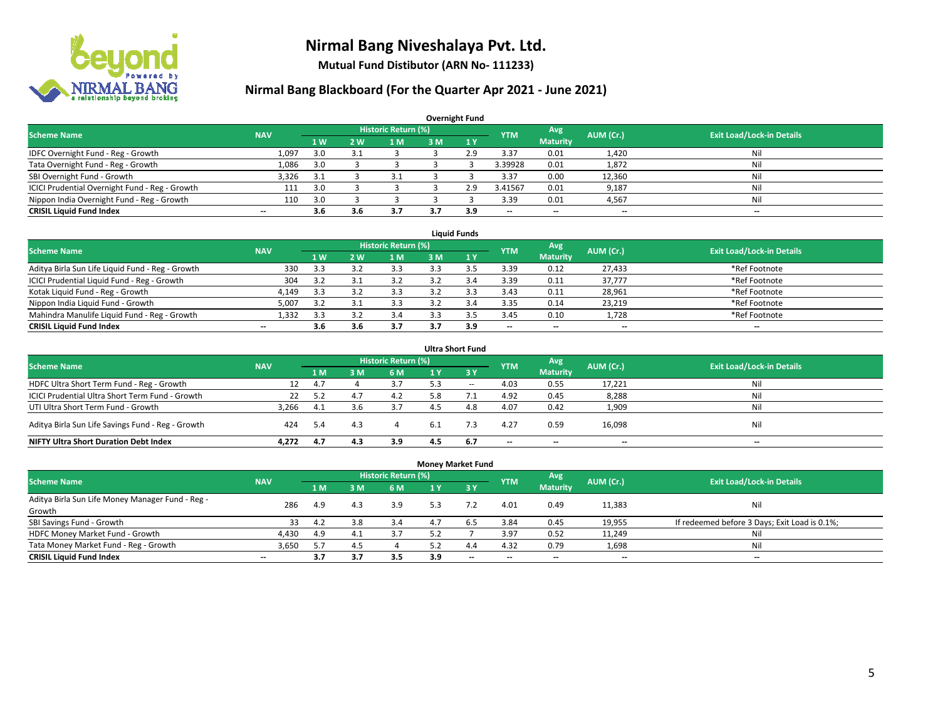

**Mutual Fund Distibutor (ARN No- 111233)**

| <b>Overnight Fund</b>                          |                          |     |     |                            |     |              |                          |                          |           |                                  |  |  |  |  |
|------------------------------------------------|--------------------------|-----|-----|----------------------------|-----|--------------|--------------------------|--------------------------|-----------|----------------------------------|--|--|--|--|
| <b>Scheme Name</b>                             | <b>NAV</b>               |     |     | <b>Historic Return (%)</b> |     |              | <b>YTM</b>               | Avg                      | AUM (Cr.) | <b>Exit Load/Lock-in Details</b> |  |  |  |  |
|                                                |                          | 1 W | 2 W | 1 M                        | 3 M | $\sqrt{1}$ Y |                          | <b>Maturity</b>          |           |                                  |  |  |  |  |
| IDFC Overnight Fund - Reg - Growth             | 1,097                    | 3.0 |     |                            |     | 2.9          | 3.37                     | 0.01                     | 1,420     | Nil                              |  |  |  |  |
| Tata Overnight Fund - Reg - Growth             | 1,086                    | 3.0 |     |                            |     |              | 3.39928                  | 0.01                     | 1,872     | Nil                              |  |  |  |  |
| SBI Overnight Fund - Growth                    | 3,326                    | 3.1 |     | 3.1                        |     |              | 3.37                     | 0.00                     | 12,360    | Nil                              |  |  |  |  |
| ICICI Prudential Overnight Fund - Reg - Growth | 111                      | 3.0 |     |                            |     | 2.9          | 3.41567                  | 0.01                     | 9,187     | Nil                              |  |  |  |  |
| Nippon India Overnight Fund - Reg - Growth     | 110                      | 3.0 |     |                            |     |              | 3.39                     | 0.01                     | 4,567     | Nil                              |  |  |  |  |
| <b>CRISIL Liquid Fund Index</b>                | $\overline{\phantom{a}}$ | 3.6 | 3.6 | 3.7                        |     | 3.9          | $\overline{\phantom{a}}$ | $\overline{\phantom{a}}$ | --        | $-$                              |  |  |  |  |

| <b>Liauid Funds</b>                              |            |                |     |                     |      |     |                          |                 |           |                                  |  |  |  |
|--------------------------------------------------|------------|----------------|-----|---------------------|------|-----|--------------------------|-----------------|-----------|----------------------------------|--|--|--|
| <b>Scheme Name</b>                               | <b>NAV</b> |                |     | Historic Return (%) |      |     | <b>YTM</b>               | Avg             | AUM (Cr.) | <b>Exit Load/Lock-in Details</b> |  |  |  |
|                                                  |            | 1 <sub>W</sub> | 2 W | 1 M                 | 3 M. |     |                          | <b>Maturity</b> |           |                                  |  |  |  |
| Aditya Birla Sun Life Liquid Fund - Reg - Growth | 330        | 3.3            |     | 3.3                 |      |     | 3.39                     | 0.12            | 27,433    | *Ref Footnote                    |  |  |  |
| ICICI Prudential Liquid Fund - Reg - Growth      | 304        | 3.2            |     | 3.2                 |      |     | 3.39                     | 0.11            | 37,777    | *Ref Footnote                    |  |  |  |
| Kotak Liguid Fund - Reg - Growth                 | 4,149      | 3.3            |     | 3.3                 |      |     | 3.43                     | 0.11            | 28,961    | *Ref Footnote                    |  |  |  |
| Nippon India Liquid Fund - Growth                | 5,007      | 3.2            |     | 3.3                 |      |     | 3.35                     | 0.14            | 23,219    | *Ref Footnote                    |  |  |  |
| Mahindra Manulife Liquid Fund - Reg - Growth     | 1.332      | 3.3            |     | 3.4                 |      |     | 3.45                     | 0.10            | 1,728     | *Ref Footnote                    |  |  |  |
| <b>CRISIL Liquid Fund Index</b>                  | $- -$      | 3.b            |     | 3.7                 |      | 3.9 | $\overline{\phantom{a}}$ | $- -$           | $- -$     | $-$                              |  |  |  |

| <b>Ultra Short Fund</b>                           |            |      |     |                            |     |              |                          |                          |                          |                                  |  |  |  |
|---------------------------------------------------|------------|------|-----|----------------------------|-----|--------------|--------------------------|--------------------------|--------------------------|----------------------------------|--|--|--|
| <b>Scheme Name</b>                                | <b>NAV</b> |      |     | <b>Historic Return (%)</b> |     |              | <b>YTM</b>               | Avg                      | AUM (Cr.)                | <b>Exit Load/Lock-in Details</b> |  |  |  |
|                                                   |            | 1 M  | 3 M | <b>6 M</b>                 | 1 Y | $\angle$ 3 Y |                          | <b>Maturity</b>          |                          |                                  |  |  |  |
| HDFC Ultra Short Term Fund - Reg - Growth         | 12         | 4.7  |     | 3.7                        | 5.3 | $\sim$       | 4.03                     | 0.55                     | 17,221                   | Nil                              |  |  |  |
| ICICI Prudential Ultra Short Term Fund - Growth   | 22         | 5.2  | 4.7 | 4.2                        |     |              | 4.92                     | 0.45                     | 8,288                    | Nil                              |  |  |  |
| UTI Ultra Short Term Fund - Growth                | 3.266      | -4.1 | 3.6 |                            |     | 4.8          | 4.07                     | 0.42                     | 1,909                    | Nil                              |  |  |  |
| Aditya Birla Sun Life Savings Fund - Reg - Growth | 424        | 5.4  | 4.3 |                            |     |              | 4.27                     | 0.59                     | 16,098                   | Nil                              |  |  |  |
| <b>NIFTY Ultra Short Duration Debt Index</b>      | 4.272      | 4.7  | 4.3 | 3.9                        | 4.5 | -6.7         | $\overline{\phantom{a}}$ | $\overline{\phantom{a}}$ | $\overline{\phantom{a}}$ | $-$                              |  |  |  |

| <b>Money Market Fund</b>                                   |            |                |     |                            |     |       |            |                          |           |                                               |  |  |  |  |
|------------------------------------------------------------|------------|----------------|-----|----------------------------|-----|-------|------------|--------------------------|-----------|-----------------------------------------------|--|--|--|--|
| <b>Scheme Name</b>                                         | <b>NAV</b> |                |     | <b>Historic Return (%)</b> |     |       | <b>YTM</b> | Avg                      | AUM (Cr.) | <b>Exit Load/Lock-in Details</b>              |  |  |  |  |
|                                                            |            | 1 <sub>M</sub> | 3M  | 6 M                        |     | $-3V$ |            | <b>Maturity</b>          |           |                                               |  |  |  |  |
| Aditya Birla Sun Life Money Manager Fund - Reg -<br>Growth | 286        | 4.9            | 4.3 | 3.9                        | 5.3 |       | 4.01       | 0.49                     | 11,383    | Nil                                           |  |  |  |  |
| SBI Savings Fund - Growth                                  | 33         | 4.2            | 3.8 | 3.4                        | 4.7 | 6.5   | 3.84       | 0.45                     | 19,955    | If redeemed before 3 Days; Exit Load is 0.1%; |  |  |  |  |
| HDFC Money Market Fund - Growth                            | 4,430      | 4.9            | 4.1 | 3.7                        | 5.2 |       | 3.97       | 0.52                     | 11,249    | Nil                                           |  |  |  |  |
| Tata Money Market Fund - Reg - Growth                      | 3,650      | 5.7            | 4.5 |                            | 5.2 | 4.4   | 4.32       | 0.79                     | 1,698     | Nil                                           |  |  |  |  |
| <b>CRISIL Liquid Fund Index</b>                            | $- -$      | 3.7            | 3.7 | 3.5                        | 3.9 | $-$   | --         | $\overline{\phantom{a}}$ | $- -$     | $-$                                           |  |  |  |  |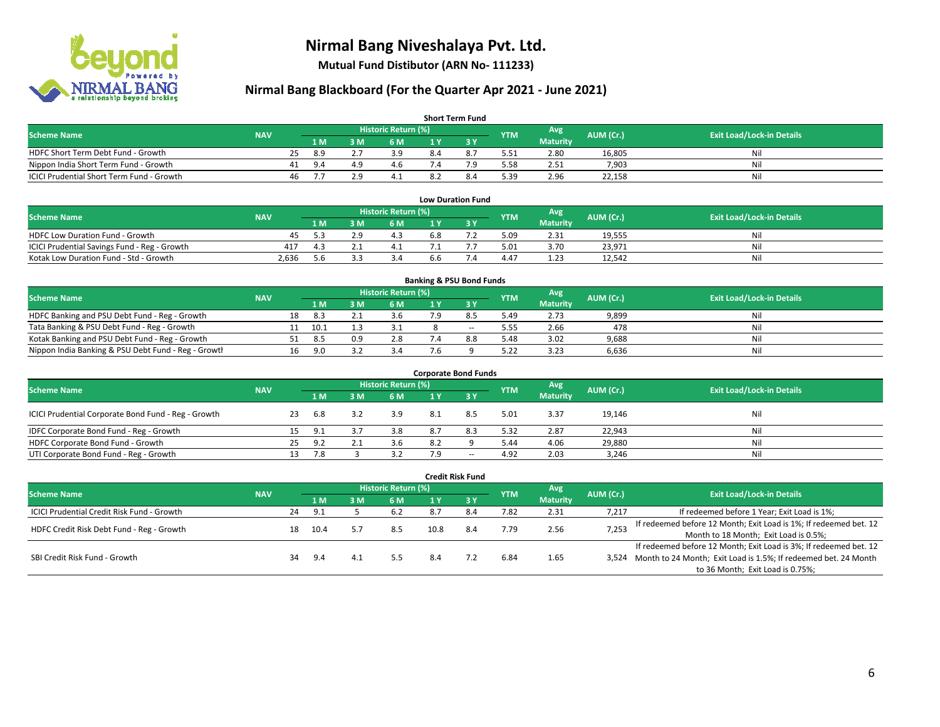

**Mutual Fund Distibutor (ARN No- 111233)**

| <b>Short Term Fund</b>                    |            |    |      |     |                            |     |  |            |                 |           |                                  |  |  |
|-------------------------------------------|------------|----|------|-----|----------------------------|-----|--|------------|-----------------|-----------|----------------------------------|--|--|
| <b>Scheme Name</b>                        | <b>NAV</b> |    |      |     | <b>Historic Return (%)</b> |     |  | <b>YTM</b> | Avg             | AUM (Cr.) | <b>Exit Load/Lock-in Details</b> |  |  |
|                                           |            |    | 1 M. | 3 M | 6 M                        | 1 V |  |            | <b>Maturity</b> |           |                                  |  |  |
| HDFC Short Term Debt Fund - Growth        |            | 25 | 8.9  |     | 3 Q                        |     |  | 5.51       | 2.80            | 16,805    | Nil                              |  |  |
| Nippon India Short Term Fund - Growth     |            | 41 | 9.4  |     | 4.6                        |     |  | 5.58       | 2.51            | 7,903     | Nil                              |  |  |
| ICICI Prudential Short Term Fund - Growth |            | 46 |      |     |                            |     |  | 5.39       | 2.96            | 22,158    | Nil                              |  |  |

| <b>Low Duration Fund</b>                     |            |      |  |                     |     |  |            |                 |           |                                  |  |  |  |
|----------------------------------------------|------------|------|--|---------------------|-----|--|------------|-----------------|-----------|----------------------------------|--|--|--|
| <b>Scheme Name</b>                           | <b>NAV</b> |      |  | Historic Return (%) |     |  | <b>YTM</b> | Avg             | AUM (Cr.) | <b>Exit Load/Lock-in Details</b> |  |  |  |
|                                              |            | 1 M  |  | 6 M                 |     |  |            | <b>Maturity</b> |           |                                  |  |  |  |
| HDFC Low Duration Fund - Growth              | 45         | . .  |  | 4.3                 | 6.8 |  | 5.09       | 2.31            | 19,555    | Nil                              |  |  |  |
| ICICI Prudential Savings Fund - Reg - Growth | 417        | -4.3 |  | 4.⊥                 |     |  | 5.01       | 3.70            | 23,971    | Nil                              |  |  |  |
| Kotak Low Duration Fund - Std - Growth       | 2.636      | 5.6  |  |                     | 6.6 |  | 4.47       | 1.23            | 12,542    | Nil                              |  |  |  |

| <b>Banking &amp; PSU Bond Funds</b>                 |            |    |      |     |                     |     |        |            |                 |           |                                  |  |  |  |
|-----------------------------------------------------|------------|----|------|-----|---------------------|-----|--------|------------|-----------------|-----------|----------------------------------|--|--|--|
| <b>Scheme Name</b>                                  | <b>NAV</b> |    |      |     | Historic Return (%) |     |        | <b>YTM</b> | Avg             | AUM (Cr.) | <b>Exit Load/Lock-in Details</b> |  |  |  |
|                                                     |            |    | 1 M  | : M | 6 M                 |     |        |            | <b>Maturity</b> |           |                                  |  |  |  |
| HDFC Banking and PSU Debt Fund - Reg - Growth       |            | 18 | 8.3  |     | 3.b                 |     |        | 5.49       | 2.73            | 9,899     | Nil                              |  |  |  |
| Tata Banking & PSU Debt Fund - Reg - Growth         |            |    | ث.10 |     |                     |     | $\sim$ | 5.55       | 2.66            | 478       | Nil                              |  |  |  |
| Kotak Banking and PSU Debt Fund - Reg - Growth      |            |    | 8.5  | 0.9 | 2.8                 |     | 8.8    | 5.48       | 3.02            | 9,688     | Nil                              |  |  |  |
| Nippon India Banking & PSU Debt Fund - Reg - Growth |            | 16 | -9.0 |     | 3.4                 | 7.6 |        | 5.22       | 3.23            | 6,636     | Nil                              |  |  |  |

| <b>Corporate Bond Funds</b>                         |            |    |     |   |                            |     |                          |            |                 |           |                                  |  |  |  |
|-----------------------------------------------------|------------|----|-----|---|----------------------------|-----|--------------------------|------------|-----------------|-----------|----------------------------------|--|--|--|
| <b>Scheme Name</b>                                  | <b>NAV</b> |    |     |   | <b>Historic Return (%)</b> |     |                          | <b>YTM</b> | Avg             | AUM (Cr.) | <b>Exit Load/Lock-in Details</b> |  |  |  |
|                                                     |            |    | 1 M | M | 6 M                        | 1 Y | <b>73 Y</b>              |            | <b>Maturity</b> |           |                                  |  |  |  |
| ICICI Prudential Corporate Bond Fund - Reg - Growth |            | 23 | 6.8 |   | 3.9                        | 8.1 | 8.5                      | 5.01       | 3.37            | 19,146    | Nil                              |  |  |  |
| IDFC Corporate Bond Fund - Reg - Growth             |            |    | 9.1 |   | 3.8                        | 8.7 | 8.3                      | 5.32       | 2.87            | 22,943    | Nil                              |  |  |  |
| HDFC Corporate Bond Fund - Growth                   |            | 25 | 9.2 |   | 3.6                        | 8.2 |                          | 5.44       | 4.06            | 29,880    | Nil                              |  |  |  |
| UTI Corporate Bond Fund - Reg - Growth              |            |    | 7.8 |   | 3.2                        | 7.9 | $\overline{\phantom{a}}$ | 4.92       | 2.03            | 3,246     | Nil                              |  |  |  |

| <b>Credit Risk Fund</b>                    |            |    |      |     |                            |      |           |            |                        |           |                                                                       |  |
|--------------------------------------------|------------|----|------|-----|----------------------------|------|-----------|------------|------------------------|-----------|-----------------------------------------------------------------------|--|
| <b>Scheme Name</b>                         | <b>NAV</b> |    |      |     | <b>Historic Return (%)</b> |      |           | <b>YTM</b> | Avg<br><b>Maturity</b> | AUM (Cr.) | <b>Exit Load/Lock-in Details</b>                                      |  |
|                                            |            |    | 1 M  | : M | 6 M                        | 1 Y  | $Z$ 3 $V$ |            |                        |           |                                                                       |  |
| ICICI Prudential Credit Risk Fund - Growth |            | 24 | 9.1  |     | 6.2                        | 8.7  | 8.4       | 7.82       | 2.31                   | 7,217     | If redeemed before 1 Year; Exit Load is 1%;                           |  |
| HDFC Credit Risk Debt Fund - Reg - Growth  |            | 18 | 10.4 |     |                            | 10.8 | 8.4       | 7.79       | 2.56                   | 7,253     | If redeemed before 12 Month; Exit Load is 1%; If redeemed bet. 12     |  |
|                                            |            |    |      |     |                            |      |           |            |                        |           | Month to 18 Month; Exit Load is 0.5%;                                 |  |
|                                            |            |    |      |     |                            |      |           |            |                        |           | If redeemed before 12 Month; Exit Load is 3%; If redeemed bet. 12     |  |
| SBI Credit Risk Fund - Growth              |            | 34 | 9.4  | 4.1 | 5.5                        |      |           | 6.84       | 1.65                   |           | 3,524 Month to 24 Month; Exit Load is 1.5%; If redeemed bet. 24 Month |  |
|                                            |            |    |      |     |                            |      |           |            |                        |           | to 36 Month; Exit Load is 0.75%;                                      |  |